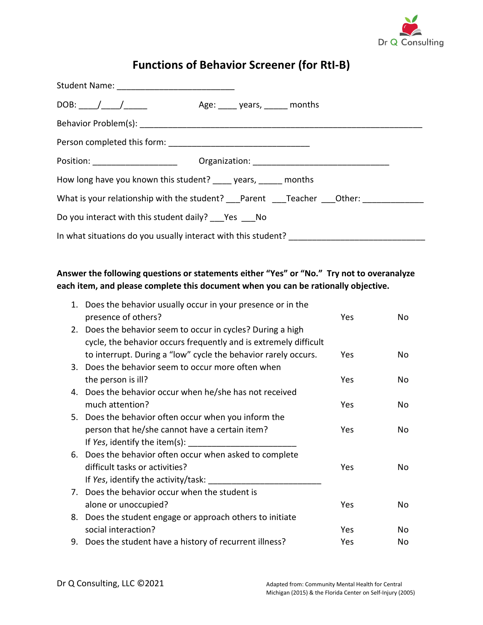

# **Functions of Behavior Screener (for RtI-B)**

| How long have you known this student? years, months                              |  |  |  |  |  |  |
|----------------------------------------------------------------------------------|--|--|--|--|--|--|
| What is your relationship with the student? Parent Teacher Dther: Chersen Lines  |  |  |  |  |  |  |
| Do you interact with this student daily? ___ Yes ____ No                         |  |  |  |  |  |  |
| In what situations do you usually interact with this student? __________________ |  |  |  |  |  |  |

## **Answer the following questions or statements either "Yes" or "No." Try not to overanalyze each item, and please complete this document when you can be rationally objective.**

|    | 1. Does the behavior usually occur in your presence or in the    |     |     |
|----|------------------------------------------------------------------|-----|-----|
|    | presence of others?                                              | Yes | No  |
|    | 2. Does the behavior seem to occur in cycles? During a high      |     |     |
|    | cycle, the behavior occurs frequently and is extremely difficult |     |     |
|    | to interrupt. During a "low" cycle the behavior rarely occurs.   | Yes | No. |
|    | 3. Does the behavior seem to occur more often when               |     |     |
|    | the person is ill?                                               | Yes | No  |
|    | 4. Does the behavior occur when he/she has not received          |     |     |
|    | much attention?                                                  | Yes | No  |
|    | 5. Does the behavior often occur when you inform the             |     |     |
|    | person that he/she cannot have a certain item?                   | Yes | No  |
|    | If Yes, identify the item(s):                                    |     |     |
|    | 6. Does the behavior often occur when asked to complete          |     |     |
|    | difficult tasks or activities?                                   | Yes | No  |
|    | If Yes, identify the activity/task:                              |     |     |
|    | 7. Does the behavior occur when the student is                   |     |     |
|    | alone or unoccupied?                                             | Yes | No  |
| 8. | Does the student engage or approach others to initiate           |     |     |
|    | social interaction?                                              | Yes | No  |
|    | 9. Does the student have a history of recurrent illness?         | Yes | No  |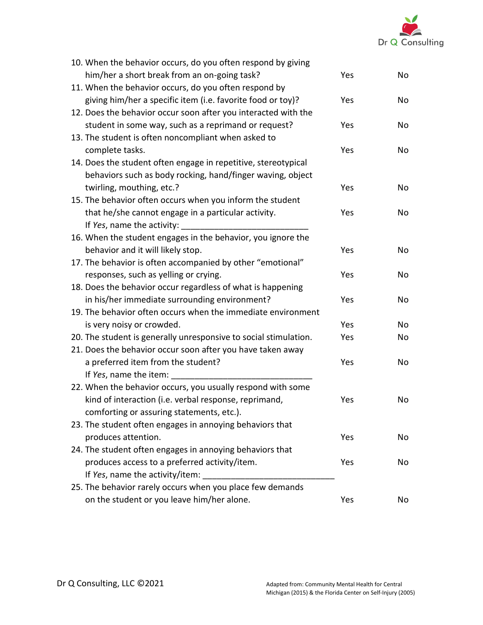

| 10. When the behavior occurs, do you often respond by giving     |     |    |
|------------------------------------------------------------------|-----|----|
| him/her a short break from an on-going task?                     | Yes | No |
| 11. When the behavior occurs, do you often respond by            |     |    |
| giving him/her a specific item (i.e. favorite food or toy)?      | Yes | No |
| 12. Does the behavior occur soon after you interacted with the   |     |    |
| student in some way, such as a reprimand or request?             | Yes | No |
| 13. The student is often noncompliant when asked to              |     |    |
| complete tasks.                                                  | Yes | No |
| 14. Does the student often engage in repetitive, stereotypical   |     |    |
| behaviors such as body rocking, hand/finger waving, object       |     |    |
| twirling, mouthing, etc.?                                        | Yes | No |
| 15. The behavior often occurs when you inform the student        |     |    |
| that he/she cannot engage in a particular activity.              | Yes | No |
| If Yes, name the activity:                                       |     |    |
| 16. When the student engages in the behavior, you ignore the     |     |    |
| behavior and it will likely stop.                                | Yes | No |
| 17. The behavior is often accompanied by other "emotional"       |     |    |
| responses, such as yelling or crying.                            | Yes | No |
| 18. Does the behavior occur regardless of what is happening      |     |    |
| in his/her immediate surrounding environment?                    | Yes | No |
| 19. The behavior often occurs when the immediate environment     |     |    |
| is very noisy or crowded.                                        | Yes | No |
| 20. The student is generally unresponsive to social stimulation. | Yes | No |
| 21. Does the behavior occur soon after you have taken away       |     |    |
| a preferred item from the student?                               | Yes | No |
| If Yes, name the item:                                           |     |    |
| 22. When the behavior occurs, you usually respond with some      |     |    |
| kind of interaction (i.e. verbal response, reprimand,            | Yes | No |
| comforting or assuring statements, etc.).                        |     |    |
| 23. The student often engages in annoying behaviors that         |     |    |
| produces attention.                                              | Yes | No |
| 24. The student often engages in annoying behaviors that         |     |    |
| produces access to a preferred activity/item.                    | Yes | No |
| If Yes, name the activity/item:                                  |     |    |
| 25. The behavior rarely occurs when you place few demands        |     |    |
| on the student or you leave him/her alone.                       | Yes | No |